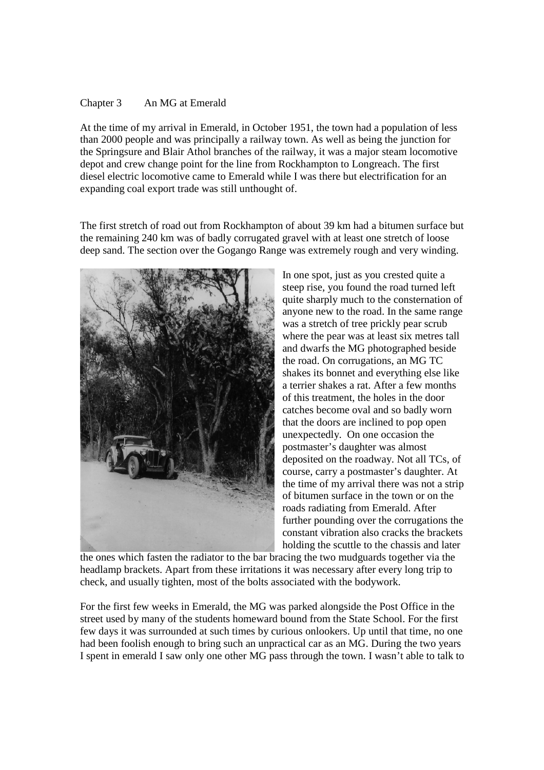## Chapter 3 An MG at Emerald

At the time of my arrival in Emerald, in October 1951, the town had a population of less than 2000 people and was principally a railway town. As well as being the junction for the Springsure and Blair Athol branches of the railway, it was a major steam locomotive depot and crew change point for the line from Rockhampton to Longreach. The first diesel electric locomotive came to Emerald while I was there but electrification for an expanding coal export trade was still unthought of.

The first stretch of road out from Rockhampton of about 39 km had a bitumen surface but the remaining 240 km was of badly corrugated gravel with at least one stretch of loose deep sand. The section over the Gogango Range was extremely rough and very winding.



In one spot, just as you crested quite a steep rise, you found the road turned left quite sharply much to the consternation of anyone new to the road. In the same range was a stretch of tree prickly pear scrub where the pear was at least six metres tall and dwarfs the MG photographed beside the road. On corrugations, an MG TC shakes its bonnet and everything else like a terrier shakes a rat. After a few months of this treatment, the holes in the door catches become oval and so badly worn that the doors are inclined to pop open unexpectedly. On one occasion the postmaster's daughter was almost deposited on the roadway. Not all TCs, of course, carry a postmaster's daughter. At the time of my arrival there was not a strip of bitumen surface in the town or on the roads radiating from Emerald. After further pounding over the corrugations the constant vibration also cracks the brackets holding the scuttle to the chassis and later

the ones which fasten the radiator to the bar bracing the two mudguards together via the headlamp brackets. Apart from these irritations it was necessary after every long trip to check, and usually tighten, most of the bolts associated with the bodywork.

For the first few weeks in Emerald, the MG was parked alongside the Post Office in the street used by many of the students homeward bound from the State School. For the first few days it was surrounded at such times by curious onlookers. Up until that time, no one had been foolish enough to bring such an unpractical car as an MG. During the two years I spent in emerald I saw only one other MG pass through the town. I wasn't able to talk to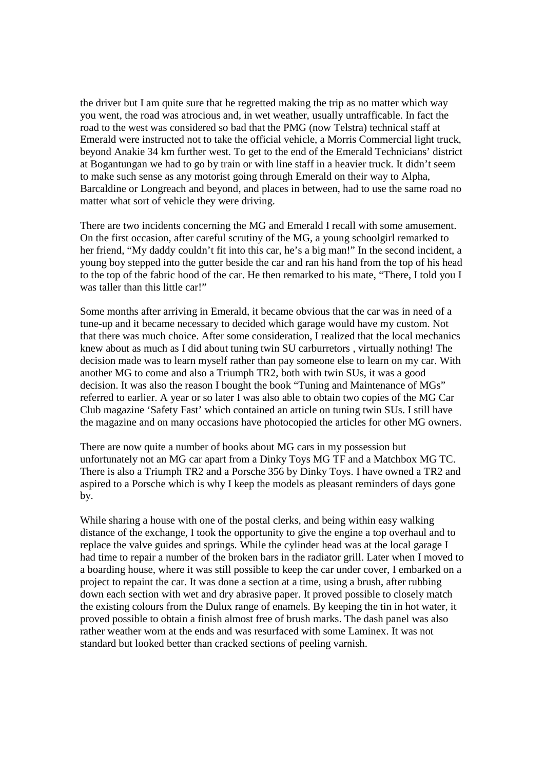the driver but I am quite sure that he regretted making the trip as no matter which way you went, the road was atrocious and, in wet weather, usually untrafficable. In fact the road to the west was considered so bad that the PMG (now Telstra) technical staff at Emerald were instructed not to take the official vehicle, a Morris Commercial light truck, beyond Anakie 34 km further west. To get to the end of the Emerald Technicians' district at Bogantungan we had to go by train or with line staff in a heavier truck. It didn't seem to make such sense as any motorist going through Emerald on their way to Alpha, Barcaldine or Longreach and beyond, and places in between, had to use the same road no matter what sort of vehicle they were driving.

There are two incidents concerning the MG and Emerald I recall with some amusement. On the first occasion, after careful scrutiny of the MG, a young schoolgirl remarked to her friend, "My daddy couldn't fit into this car, he's a big man!" In the second incident, a young boy stepped into the gutter beside the car and ran his hand from the top of his head to the top of the fabric hood of the car. He then remarked to his mate, "There, I told you I was taller than this little car!"

Some months after arriving in Emerald, it became obvious that the car was in need of a tune-up and it became necessary to decided which garage would have my custom. Not that there was much choice. After some consideration, I realized that the local mechanics knew about as much as I did about tuning twin SU carburretors , virtually nothing! The decision made was to learn myself rather than pay someone else to learn on my car. With another MG to come and also a Triumph TR2, both with twin SUs, it was a good decision. It was also the reason I bought the book "Tuning and Maintenance of MGs" referred to earlier. A year or so later I was also able to obtain two copies of the MG Car Club magazine 'Safety Fast' which contained an article on tuning twin SUs. I still have the magazine and on many occasions have photocopied the articles for other MG owners.

There are now quite a number of books about MG cars in my possession but unfortunately not an MG car apart from a Dinky Toys MG TF and a Matchbox MG TC. There is also a Triumph TR2 and a Porsche 356 by Dinky Toys. I have owned a TR2 and aspired to a Porsche which is why I keep the models as pleasant reminders of days gone by.

While sharing a house with one of the postal clerks, and being within easy walking distance of the exchange, I took the opportunity to give the engine a top overhaul and to replace the valve guides and springs. While the cylinder head was at the local garage I had time to repair a number of the broken bars in the radiator grill. Later when I moved to a boarding house, where it was still possible to keep the car under cover, I embarked on a project to repaint the car. It was done a section at a time, using a brush, after rubbing down each section with wet and dry abrasive paper. It proved possible to closely match the existing colours from the Dulux range of enamels. By keeping the tin in hot water, it proved possible to obtain a finish almost free of brush marks. The dash panel was also rather weather worn at the ends and was resurfaced with some Laminex. It was not standard but looked better than cracked sections of peeling varnish.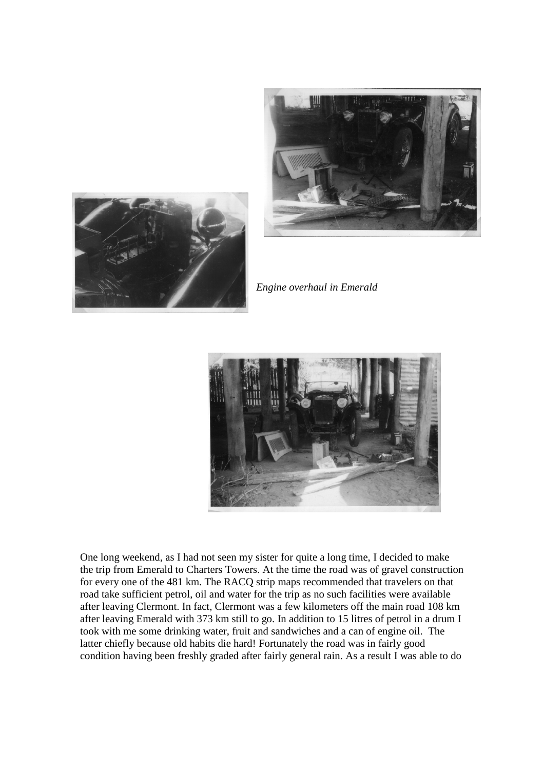



*Engine overhaul in Emerald*



One long weekend, as I had not seen my sister for quite a long time, I decided to make the trip from Emerald to Charters Towers. At the time the road was of gravel construction for every one of the 481 km. The RACQ strip maps recommended that travelers on that road take sufficient petrol, oil and water for the trip as no such facilities were available after leaving Clermont. In fact, Clermont was a few kilometers off the main road 108 km after leaving Emerald with 373 km still to go. In addition to 15 litres of petrol in a drum I took with me some drinking water, fruit and sandwiches and a can of engine oil. The latter chiefly because old habits die hard! Fortunately the road was in fairly good condition having been freshly graded after fairly general rain. As a result I was able to do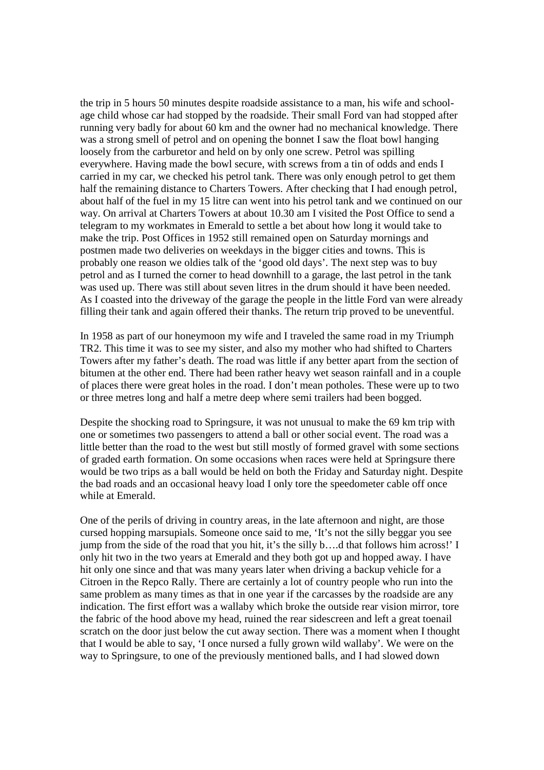the trip in 5 hours 50 minutes despite roadside assistance to a man, his wife and schoolage child whose car had stopped by the roadside. Their small Ford van had stopped after running very badly for about 60 km and the owner had no mechanical knowledge. There was a strong smell of petrol and on opening the bonnet I saw the float bowl hanging loosely from the carburetor and held on by only one screw. Petrol was spilling everywhere. Having made the bowl secure, with screws from a tin of odds and ends I carried in my car, we checked his petrol tank. There was only enough petrol to get them half the remaining distance to Charters Towers. After checking that I had enough petrol, about half of the fuel in my 15 litre can went into his petrol tank and we continued on our way. On arrival at Charters Towers at about 10.30 am I visited the Post Office to send a telegram to my workmates in Emerald to settle a bet about how long it would take to make the trip. Post Offices in 1952 still remained open on Saturday mornings and postmen made two deliveries on weekdays in the bigger cities and towns. This is probably one reason we oldies talk of the 'good old days'. The next step was to buy petrol and as I turned the corner to head downhill to a garage, the last petrol in the tank was used up. There was still about seven litres in the drum should it have been needed. As I coasted into the driveway of the garage the people in the little Ford van were already filling their tank and again offered their thanks. The return trip proved to be uneventful.

In 1958 as part of our honeymoon my wife and I traveled the same road in my Triumph TR2. This time it was to see my sister, and also my mother who had shifted to Charters Towers after my father's death. The road was little if any better apart from the section of bitumen at the other end. There had been rather heavy wet season rainfall and in a couple of places there were great holes in the road. I don't mean potholes. These were up to two or three metres long and half a metre deep where semi trailers had been bogged.

Despite the shocking road to Springsure, it was not unusual to make the 69 km trip with one or sometimes two passengers to attend a ball or other social event. The road was a little better than the road to the west but still mostly of formed gravel with some sections of graded earth formation. On some occasions when races were held at Springsure there would be two trips as a ball would be held on both the Friday and Saturday night. Despite the bad roads and an occasional heavy load I only tore the speedometer cable off once while at Emerald.

One of the perils of driving in country areas, in the late afternoon and night, are those cursed hopping marsupials. Someone once said to me, 'It's not the silly beggar you see jump from the side of the road that you hit, it's the silly b….d that follows him across!' I only hit two in the two years at Emerald and they both got up and hopped away. I have hit only one since and that was many years later when driving a backup vehicle for a Citroen in the Repco Rally. There are certainly a lot of country people who run into the same problem as many times as that in one year if the carcasses by the roadside are any indication. The first effort was a wallaby which broke the outside rear vision mirror, tore the fabric of the hood above my head, ruined the rear sidescreen and left a great toenail scratch on the door just below the cut away section. There was a moment when I thought that I would be able to say, 'I once nursed a fully grown wild wallaby'. We were on the way to Springsure, to one of the previously mentioned balls, and I had slowed down